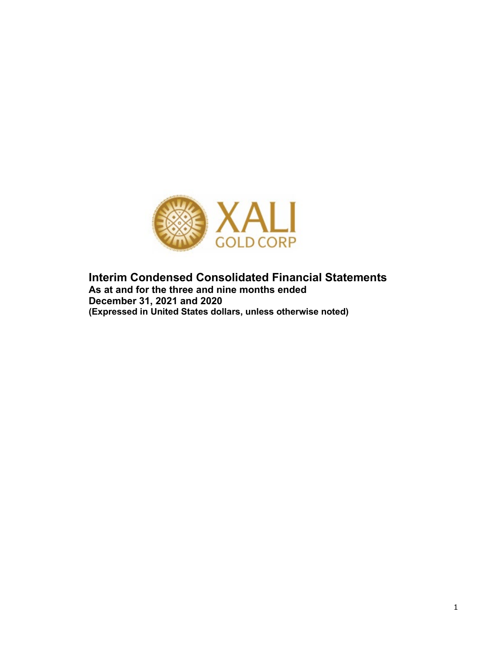

**Interim Condensed Consolidated Financial Statements As at and for the three and nine months ended December 31, 2021 and 2020 (Expressed in United States dollars, unless otherwise noted)**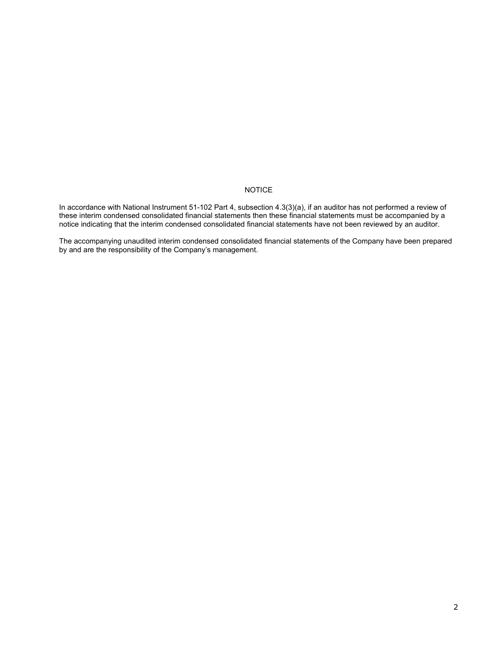# NOTICE

In accordance with National Instrument 51-102 Part 4, subsection 4.3(3)(a), if an auditor has not performed a review of these interim condensed consolidated financial statements then these financial statements must be accompanied by a notice indicating that the interim condensed consolidated financial statements have not been reviewed by an auditor.

The accompanying unaudited interim condensed consolidated financial statements of the Company have been prepared by and are the responsibility of the Company's management.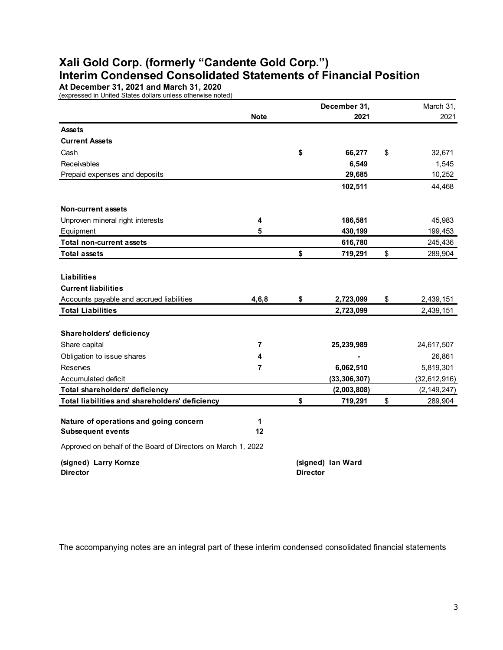# **Xali Gold Corp. (formerly "Candente Gold Corp.") Interim Condensed Consolidated Statements of Financial Position**

**At December 31, 2021 and March 31, 2020**

(expressed in United States dollars unless otherwise noted)

|                                                               |             |                 | December 31,      | March 31,       |
|---------------------------------------------------------------|-------------|-----------------|-------------------|-----------------|
|                                                               | <b>Note</b> |                 | 2021              | 2021            |
| <b>Assets</b>                                                 |             |                 |                   |                 |
| <b>Current Assets</b>                                         |             |                 |                   |                 |
| Cash                                                          |             | \$              | 66,277            | \$<br>32,671    |
| Receivables                                                   |             |                 | 6,549             | 1,545           |
| Prepaid expenses and deposits                                 |             |                 | 29,685            | 10,252          |
|                                                               |             |                 | 102,511           | 44,468          |
| <b>Non-current assets</b>                                     |             |                 |                   |                 |
| Unproven mineral right interests                              | 4           |                 | 186,581           | 45,983          |
| Equipment                                                     | 5           |                 | 430,199           | 199,453         |
| <b>Total non-current assets</b>                               |             |                 | 616,780           | 245,436         |
| <b>Total assets</b>                                           |             | \$              | 719,291           | \$<br>289,904   |
|                                                               |             |                 |                   |                 |
| <b>Liabilities</b>                                            |             |                 |                   |                 |
| <b>Current liabilities</b>                                    |             |                 |                   |                 |
| Accounts payable and accrued liabilities                      | 4, 6, 8     | \$              | 2,723,099         | \$<br>2,439,151 |
| <b>Total Liabilities</b>                                      |             |                 | 2,723,099         | 2,439,151       |
|                                                               |             |                 |                   |                 |
| <b>Shareholders' deficiency</b>                               |             |                 |                   |                 |
| Share capital                                                 | 7           |                 | 25,239,989        | 24,617,507      |
| Obligation to issue shares                                    | 4           |                 |                   | 26,861          |
| <b>Reserves</b>                                               | 7           |                 | 6,062,510         | 5,819,301       |
| Accumulated deficit                                           |             |                 | (33, 306, 307)    | (32, 612, 916)  |
| Total shareholders' deficiency                                |             |                 | (2,003,808)       | (2, 149, 247)   |
| Total liabilities and shareholders' deficiency                |             | \$              | 719,291           | \$<br>289,904   |
|                                                               |             |                 |                   |                 |
| Nature of operations and going concern                        | 1           |                 |                   |                 |
| <b>Subsequent events</b>                                      | 12          |                 |                   |                 |
| Approved on behalf of the Board of Directors on March 1, 2022 |             |                 |                   |                 |
| (signed) Larry Kornze                                         |             |                 | (signed) lan Ward |                 |
| <b>Director</b>                                               |             | <b>Director</b> |                   |                 |

The accompanying notes are an integral part of these interim condensed consolidated financial statements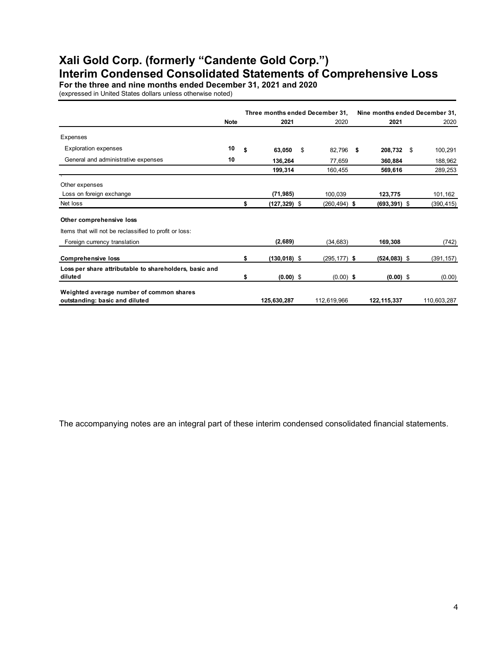# **Xali Gold Corp. (formerly "Candente Gold Corp.") Interim Condensed Consolidated Statements of Comprehensive Loss**

**For the three and nine months ended December 31, 2021 and 2020**

(expressed in United States dollars unless otherwise noted)

|                                                                            |             |    |                 | Three months ended December 31, |                 | Nine months ended December 31, |             |
|----------------------------------------------------------------------------|-------------|----|-----------------|---------------------------------|-----------------|--------------------------------|-------------|
|                                                                            | <b>Note</b> |    | 2021            | 2020                            | 2021            |                                | 2020        |
| Expenses                                                                   |             |    |                 |                                 |                 |                                |             |
| <b>Exploration expenses</b>                                                | 10          | \$ | 63,050          | \$<br>82,796 \$                 | 208,732 \$      |                                | 100,291     |
| General and administrative expenses                                        | 10          |    | 136,264         | 77,659                          | 360,884         |                                | 188,962     |
|                                                                            |             |    | 199,314         | 160,455                         | 569,616         |                                | 289,253     |
| Other expenses                                                             |             |    |                 |                                 |                 |                                |             |
| Loss on foreign exchange                                                   |             |    | (71, 985)       | 100,039                         | 123,775         |                                | 101,162     |
| Net loss                                                                   |             | \$ | (127,329) \$    | $(260, 494)$ \$                 | $(693, 391)$ \$ |                                | (390, 415)  |
| Other comprehensive loss                                                   |             |    |                 |                                 |                 |                                |             |
| Items that will not be reclassified to profit or loss:                     |             |    |                 |                                 |                 |                                |             |
| Foreign currency translation                                               |             |    | (2,689)         | (34, 683)                       | 169,308         |                                | (742)       |
| <b>Comprehensive loss</b>                                                  |             | \$ | $(130, 018)$ \$ | $(295, 177)$ \$                 | $(524, 083)$ \$ |                                | (391, 157)  |
| Loss per share attributable to shareholders, basic and                     |             |    |                 |                                 |                 |                                |             |
| diluted                                                                    |             | \$ | $(0.00)$ \$     | $(0.00)$ \$                     | $(0.00)$ \$     |                                | (0.00)      |
| Weighted average number of common shares<br>outstanding: basic and diluted |             |    | 125,630,287     | 112,619,966                     | 122, 115, 337   |                                | 110,603,287 |

The accompanying notes are an integral part of these interim condensed consolidated financial statements.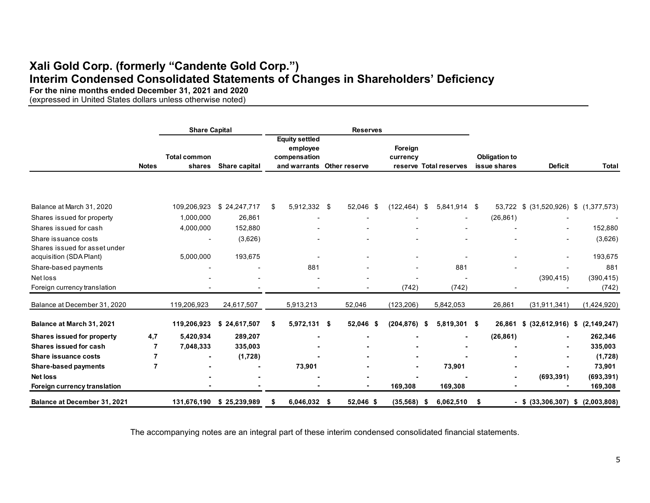# **Xali Gold Corp. (formerly "Candente Gold Corp.") Interim Condensed Consolidated Statements of Changes in Shareholders' Deficiency**

**For the nine months ended December 31, 2021 and 2020**

(expressed in United States dollars unless otherwise noted)

|                                     |                | <b>Share Capital</b>          |               |    |                                                                   |     | <b>Reserves</b> |                     |     |                          |                                      |                                  |                     |
|-------------------------------------|----------------|-------------------------------|---------------|----|-------------------------------------------------------------------|-----|-----------------|---------------------|-----|--------------------------|--------------------------------------|----------------------------------|---------------------|
|                                     | <b>Notes</b>   | <b>Total common</b><br>shares | Share capital |    | <b>Equity settled</b><br>employee<br>compensation<br>and warrants |     | Other reserve   | Foreign<br>currency |     | reserve Total reserves   | <b>Obligation to</b><br>issue shares | <b>Deficit</b>                   | <b>Total</b>        |
|                                     |                |                               |               |    |                                                                   |     |                 |                     |     |                          |                                      |                                  |                     |
| Balance at March 31, 2020           |                | 109,206,923                   | \$24,247,717  | \$ | 5,912,332 \$                                                      |     | 52,046 \$       | (122, 464)          | -\$ | 5,841,914 \$             | 53,722                               | $$$ (31,520,926) $$$ (1,377,573) |                     |
| Shares issued for property          |                | 1,000,000                     | 26,861        |    |                                                                   |     |                 |                     |     | ٠                        | (26, 861)                            |                                  |                     |
| Shares issued for cash              |                | 4,000,000                     | 152,880       |    |                                                                   |     |                 |                     |     |                          |                                      |                                  | 152,880             |
| Share issuance costs                |                |                               | (3,626)       |    |                                                                   |     |                 |                     |     |                          |                                      |                                  | (3,626)             |
| Shares issued for asset under       |                |                               |               |    |                                                                   |     |                 |                     |     |                          |                                      |                                  |                     |
| acquisition (SDA Plant)             |                | 5,000,000                     | 193,675       |    |                                                                   |     |                 | ٠                   |     | $\overline{\phantom{a}}$ |                                      | ٠                                | 193,675             |
| Share-based payments                |                |                               |               |    | 881                                                               |     |                 |                     |     | 881                      |                                      |                                  | 881                 |
| Net loss                            |                |                               |               |    |                                                                   |     |                 |                     |     |                          |                                      | (390, 415)                       | (390, 415)          |
| Foreign currency translation        |                |                               |               |    |                                                                   |     |                 | (742)               |     | (742)                    |                                      |                                  | (742)               |
| Balance at December 31, 2020        |                | 119,206,923                   | 24,617,507    |    | 5,913,213                                                         |     | 52,046          | (123, 206)          |     | 5,842,053                | 26,861                               | (31, 911, 341)                   | (1,424,920)         |
| Balance at March 31, 2021           |                | 119,206,923                   | \$24,617,507  | S  | 5,972,131 \$                                                      |     | 52,046 \$       | (204, 876)          | £   | 5,819,301 \$             | 26,861                               | \$ (32,612,916)                  | (2, 149, 247)<br>\$ |
| <b>Shares issued for property</b>   | 4,7            | 5,420,934                     | 289,207       |    |                                                                   |     |                 |                     |     |                          | (26, 861)                            |                                  | 262,346             |
| Shares issued for cash              | $\overline{7}$ | 7,048,333                     | 335,003       |    |                                                                   |     |                 |                     |     | ۰                        |                                      | ۰                                | 335,003             |
| Share issuance costs                | 7              |                               | (1,728)       |    |                                                                   |     |                 |                     |     |                          |                                      |                                  | (1,728)             |
| <b>Share-based payments</b>         | $\overline{7}$ |                               |               |    | 73,901                                                            |     |                 |                     |     | 73,901                   |                                      |                                  | 73,901              |
| <b>Net loss</b>                     |                |                               |               |    |                                                                   |     |                 |                     |     |                          |                                      | (693, 391)                       | (693, 391)          |
| Foreign currency translation        |                |                               |               |    |                                                                   |     |                 | 169,308             |     | 169,308                  |                                      |                                  | 169,308             |
| <b>Balance at December 31, 2021</b> |                | 131,676,190                   | \$25,239,989  | S  | 6,046,032                                                         | -\$ | 52,046 \$       | (35, 568)           | S   | 6,062,510                | \$                                   | $-$ \$ (33,306,307)              | (2,003,808)<br>\$   |

The accompanying notes are an integral part of these interim condensed consolidated financial statements.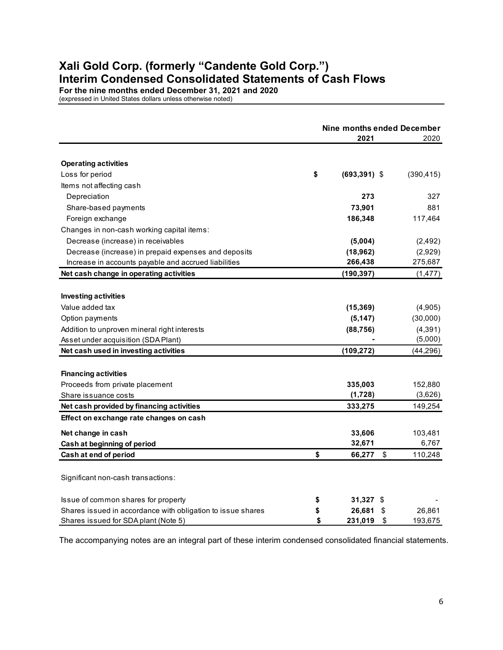# **Xali Gold Corp. (formerly "Candente Gold Corp.") Interim Condensed Consolidated Statements of Cash Flows**

**For the nine months ended December 31, 2021 and 2020**

(expressed in United States dollars unless otherwise noted)

|                                                             | Nine months ended December |                 |    |            |  |
|-------------------------------------------------------------|----------------------------|-----------------|----|------------|--|
|                                                             |                            | 2021            |    | 2020       |  |
|                                                             |                            |                 |    |            |  |
| <b>Operating activities</b>                                 |                            |                 |    |            |  |
| Loss for period                                             | \$                         | $(693, 391)$ \$ |    | (390, 415) |  |
| Items not affecting cash                                    |                            |                 |    |            |  |
| Depreciation                                                |                            | 273             |    | 327        |  |
| Share-based payments                                        |                            | 73,901          |    | 881        |  |
| Foreign exchange                                            |                            | 186,348         |    | 117,464    |  |
| Changes in non-cash working capital items:                  |                            |                 |    |            |  |
| Decrease (increase) in receivables                          |                            | (5,004)         |    | (2, 492)   |  |
| Decrease (increase) in prepaid expenses and deposits        |                            | (18, 962)       |    | (2,929)    |  |
| Increase in accounts payable and accrued liabilities        |                            | 266,438         |    | 275,687    |  |
| Net cash change in operating activities                     |                            | (190, 397)      |    | (1, 477)   |  |
|                                                             |                            |                 |    |            |  |
| <b>Investing activities</b>                                 |                            |                 |    |            |  |
| Value added tax                                             |                            | (15, 369)       |    | (4,905)    |  |
| Option payments                                             |                            | (5, 147)        |    | (30,000)   |  |
| Addition to unproven mineral right interests                |                            | (88, 756)       |    | (4, 391)   |  |
| Asset under acquisition (SDA Plant)                         |                            |                 |    | (5,000)    |  |
| Net cash used in investing activities                       |                            | (109, 272)      |    | (44, 296)  |  |
|                                                             |                            |                 |    |            |  |
| <b>Financing activities</b>                                 |                            |                 |    |            |  |
| Proceeds from private placement                             |                            | 335,003         |    | 152,880    |  |
| Share issuance costs                                        |                            | (1,728)         |    | (3,626)    |  |
| Net cash provided by financing activities                   |                            | 333,275         |    | 149,254    |  |
| Effect on exchange rate changes on cash                     |                            |                 |    |            |  |
| Net change in cash                                          |                            | 33,606          |    | 103,481    |  |
| Cash at beginning of period                                 |                            | 32,671          |    | 6,767      |  |
| Cash at end of period                                       | \$                         | 66,277          | \$ | 110,248    |  |
|                                                             |                            |                 |    |            |  |
| Significant non-cash transactions:                          |                            |                 |    |            |  |
| Issue of common shares for property                         | \$                         | 31,327 \$       |    |            |  |
| Shares issued in accordance with obligation to issue shares | \$                         | 26,681          | \$ | 26,861     |  |
| Shares issued for SDA plant (Note 5)                        | \$                         | 231,019         | \$ | 193,675    |  |

The accompanying notes are an integral part of these interim condensed consolidated financial statements.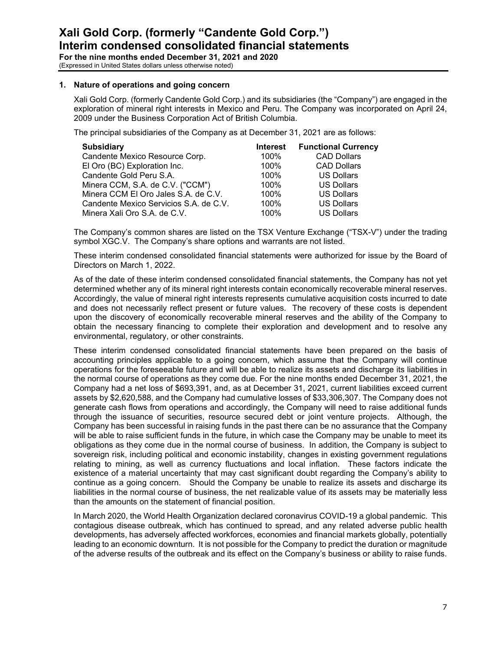**For the nine months ended December 31, 2021 and 2020** (Expressed in United States dollars unless otherwise noted)

# **1. Nature of operations and going concern**

Xali Gold Corp. (formerly Candente Gold Corp.) and its subsidiaries (the "Company") are engaged in the exploration of mineral right interests in Mexico and Peru. The Company was incorporated on April 24, 2009 under the Business Corporation Act of British Columbia.

The principal subsidiaries of the Company as at December 31, 2021 are as follows:

| <b>Subsidiary</b>                      | <b>Interest</b> | <b>Functional Currency</b> |
|----------------------------------------|-----------------|----------------------------|
| Candente Mexico Resource Corp.         | 100%            | <b>CAD Dollars</b>         |
| El Oro (BC) Exploration Inc.           | 100%            | <b>CAD Dollars</b>         |
| Candente Gold Peru S.A.                | 100%            | <b>US Dollars</b>          |
| Minera CCM, S.A. de C.V. ("CCM")       | 100%            | <b>US Dollars</b>          |
| Minera CCM El Oro Jales S.A. de C.V.   | 100%            | <b>US Dollars</b>          |
| Candente Mexico Servicios S.A. de C.V. | 100%            | <b>US Dollars</b>          |
| Minera Xali Oro S.A. de C.V.           | 100%            | <b>US Dollars</b>          |

The Company's common shares are listed on the TSX Venture Exchange ("TSX-V") under the trading symbol XGC.V. The Company's share options and warrants are not listed.

These interim condensed consolidated financial statements were authorized for issue by the Board of Directors on March 1, 2022.

As of the date of these interim condensed consolidated financial statements, the Company has not yet determined whether any of its mineral right interests contain economically recoverable mineral reserves. Accordingly, the value of mineral right interests represents cumulative acquisition costs incurred to date and does not necessarily reflect present or future values. The recovery of these costs is dependent upon the discovery of economically recoverable mineral reserves and the ability of the Company to obtain the necessary financing to complete their exploration and development and to resolve any environmental, regulatory, or other constraints.

These interim condensed consolidated financial statements have been prepared on the basis of accounting principles applicable to a going concern, which assume that the Company will continue operations for the foreseeable future and will be able to realize its assets and discharge its liabilities in the normal course of operations as they come due. For the nine months ended December 31, 2021, the Company had a net loss of \$693,391, and, as at December 31, 2021, current liabilities exceed current assets by \$2,620,588, and the Company had cumulative losses of \$33,306,307. The Company does not generate cash flows from operations and accordingly, the Company will need to raise additional funds through the issuance of securities, resource secured debt or joint venture projects. Although, the Company has been successful in raising funds in the past there can be no assurance that the Company will be able to raise sufficient funds in the future, in which case the Company may be unable to meet its obligations as they come due in the normal course of business. In addition, the Company is subject to sovereign risk, including political and economic instability, changes in existing government regulations relating to mining, as well as currency fluctuations and local inflation. These factors indicate the existence of a material uncertainty that may cast significant doubt regarding the Company's ability to continue as a going concern. Should the Company be unable to realize its assets and discharge its liabilities in the normal course of business, the net realizable value of its assets may be materially less than the amounts on the statement of financial position.

In March 2020, the World Health Organization declared coronavirus COVID-19 a global pandemic. This contagious disease outbreak, which has continued to spread, and any related adverse public health developments, has adversely affected workforces, economies and financial markets globally, potentially leading to an economic downturn. It is not possible for the Company to predict the duration or magnitude of the adverse results of the outbreak and its effect on the Company's business or ability to raise funds.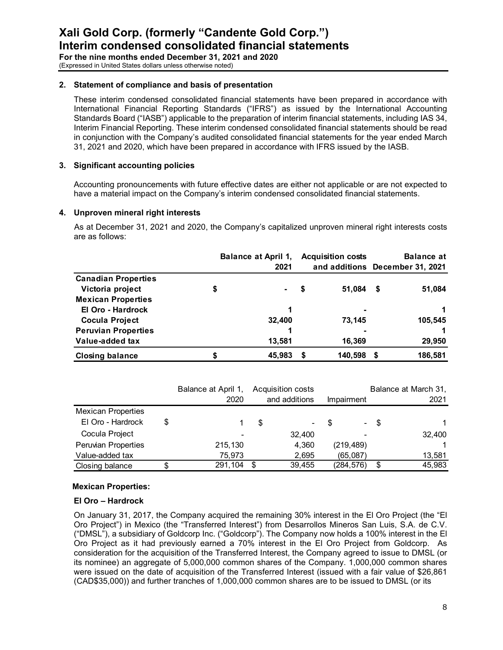**For the nine months ended December 31, 2021 and 2020** (Expressed in United States dollars unless otherwise noted)

#### **2. Statement of compliance and basis of presentation**

These interim condensed consolidated financial statements have been prepared in accordance with International Financial Reporting Standards ("IFRS") as issued by the International Accounting Standards Board ("IASB") applicable to the preparation of interim financial statements, including IAS 34, Interim Financial Reporting. These interim condensed consolidated financial statements should be read in conjunction with the Company's audited consolidated financial statements for the year ended March 31, 2021 and 2020, which have been prepared in accordance with IFRS issued by the IASB.

# **3. Significant accounting policies**

Accounting pronouncements with future effective dates are either not applicable or are not expected to have a material impact on the Company's interim condensed consolidated financial statements.

# **4. Unproven mineral right interests**

 As at December 31, 2021 and 2020, the Company's capitalized unproven mineral right interests costs are as follows:

|                            | <b>Balance at April 1,</b><br><b>Acquisition costs</b> |    |                                 | <b>Balance at</b> |         |  |
|----------------------------|--------------------------------------------------------|----|---------------------------------|-------------------|---------|--|
|                            | 2021                                                   |    | and additions December 31, 2021 |                   |         |  |
| <b>Canadian Properties</b> |                                                        |    |                                 |                   |         |  |
| Victoria project           | \$<br>$\blacksquare$                                   | \$ | 51.084                          | S                 | 51,084  |  |
| <b>Mexican Properties</b>  |                                                        |    |                                 |                   |         |  |
| El Oro - Hardrock          |                                                        |    | ۰                               |                   |         |  |
| <b>Cocula Project</b>      | 32,400                                                 |    | 73,145                          |                   | 105,545 |  |
| <b>Peruvian Properties</b> |                                                        |    |                                 |                   |         |  |
| Value-added tax            | 13,581                                                 |    | 16,369                          |                   | 29,950  |  |
| <b>Closing balance</b>     | 45,983                                                 | S  | 140,598                         | S                 | 186,581 |  |

|                           | Balance at April 1, |      | <b>Acquisition costs</b> |   |                 |      | Balance at March 31, |
|---------------------------|---------------------|------|--------------------------|---|-----------------|------|----------------------|
|                           | 2020                |      | and additions            |   | Impairment      |      | 2021                 |
| <b>Mexican Properties</b> |                     |      |                          |   |                 |      |                      |
| El Oro - Hardrock         | \$                  | S    | ٠                        | S | $\sim 10^{-10}$ | - \$ |                      |
| Cocula Project            |                     |      | 32,400                   |   |                 |      | 32,400               |
| Peruvian Properties       | 215,130             |      | 4,360                    |   | (219, 489)      |      |                      |
| Value-added tax           | 75.973              |      | 2,695                    |   | (65,087)        |      | 13.581               |
| Closing balance           | \$<br>291,104       | - \$ | 39.455                   |   | (284, 576)      | \$   | 45,983               |

# **Mexican Properties:**

#### **El Oro – Hardrock**

On January 31, 2017, the Company acquired the remaining 30% interest in the El Oro Project (the "El Oro Project") in Mexico (the "Transferred Interest") from Desarrollos Mineros San Luis, S.A. de C.V. ("DMSL"), a subsidiary of Goldcorp Inc. ("Goldcorp"). The Company now holds a 100% interest in the El Oro Project as it had previously earned a 70% interest in the El Oro Project from Goldcorp. As consideration for the acquisition of the Transferred Interest, the Company agreed to issue to DMSL (or its nominee) an aggregate of 5,000,000 common shares of the Company. 1,000,000 common shares were issued on the date of acquisition of the Transferred Interest (issued with a fair value of \$26,861 (CAD\$35,000)) and further tranches of 1,000,000 common shares are to be issued to DMSL (or its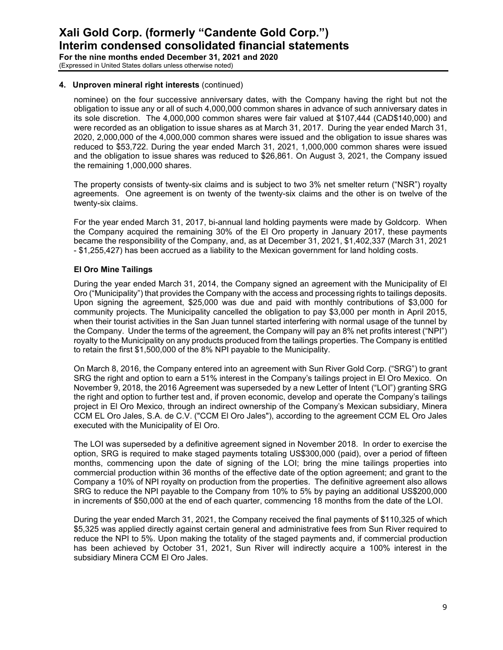**For the nine months ended December 31, 2021 and 2020** (Expressed in United States dollars unless otherwise noted)

# **4. Unproven mineral right interests** (continued)

nominee) on the four successive anniversary dates, with the Company having the right but not the obligation to issue any or all of such 4,000,000 common shares in advance of such anniversary dates in its sole discretion. The 4,000,000 common shares were fair valued at \$107,444 (CAD\$140,000) and were recorded as an obligation to issue shares as at March 31, 2017. During the year ended March 31, 2020, 2,000,000 of the 4,000,000 common shares were issued and the obligation to issue shares was reduced to \$53,722. During the year ended March 31, 2021, 1,000,000 common shares were issued and the obligation to issue shares was reduced to \$26,861. On August 3, 2021, the Company issued the remaining 1,000,000 shares.

The property consists of twenty-six claims and is subject to two 3% net smelter return ("NSR") royalty agreements. One agreement is on twenty of the twenty-six claims and the other is on twelve of the twenty-six claims.

For the year ended March 31, 2017, bi-annual land holding payments were made by Goldcorp. When the Company acquired the remaining 30% of the El Oro property in January 2017, these payments became the responsibility of the Company, and, as at December 31, 2021, \$1,402,337 (March 31, 2021 - \$1,255,427) has been accrued as a liability to the Mexican government for land holding costs.

# **El Oro Mine Tailings**

During the year ended March 31, 2014, the Company signed an agreement with the Municipality of El Oro ("Municipality") that provides the Company with the access and processing rights to tailings deposits. Upon signing the agreement, \$25,000 was due and paid with monthly contributions of \$3,000 for community projects. The Municipality cancelled the obligation to pay \$3,000 per month in April 2015, when their tourist activities in the San Juan tunnel started interfering with normal usage of the tunnel by the Company. Under the terms of the agreement, the Company will pay an 8% net profits interest ("NPI") royalty to the Municipality on any products produced from the tailings properties. The Company is entitled to retain the first \$1,500,000 of the 8% NPI payable to the Municipality.

On March 8, 2016, the Company entered into an agreement with Sun River Gold Corp. ("SRG") to grant SRG the right and option to earn a 51% interest in the Company's tailings project in El Oro Mexico. On November 9, 2018, the 2016 Agreement was superseded by a new Letter of Intent ("LOI") granting SRG the right and option to further test and, if proven economic, develop and operate the Company's tailings project in El Oro Mexico, through an indirect ownership of the Company's Mexican subsidiary, Minera CCM EL Oro Jales, S.A. de C.V. ("CCM El Oro Jales"), according to the agreement CCM EL Oro Jales executed with the Municipality of El Oro.

The LOI was superseded by a definitive agreement signed in November 2018. In order to exercise the option, SRG is required to make staged payments totaling US\$300,000 (paid), over a period of fifteen months, commencing upon the date of signing of the LOI; bring the mine tailings properties into commercial production within 36 months of the effective date of the option agreement; and grant to the Company a 10% of NPI royalty on production from the properties. The definitive agreement also allows SRG to reduce the NPI payable to the Company from 10% to 5% by paying an additional US\$200,000 in increments of \$50,000 at the end of each quarter, commencing 18 months from the date of the LOI.

During the year ended March 31, 2021, the Company received the final payments of \$110,325 of which \$5,325 was applied directly against certain general and administrative fees from Sun River required to reduce the NPI to 5%. Upon making the totality of the staged payments and, if commercial production has been achieved by October 31, 2021, Sun River will indirectly acquire a 100% interest in the subsidiary Minera CCM El Oro Jales.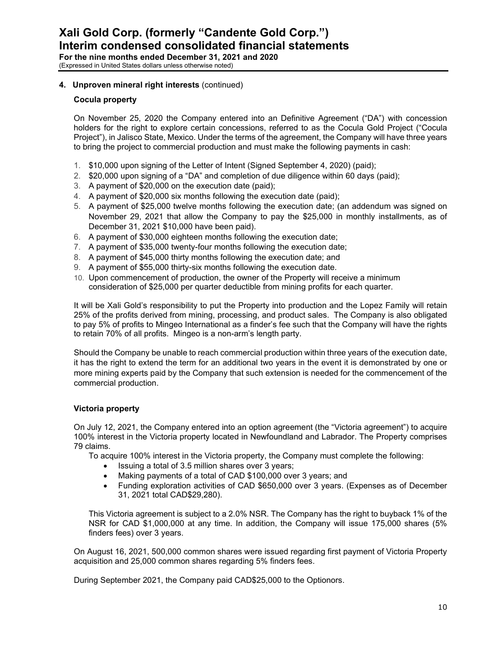# **4. Unproven mineral right interests** (continued)

### **Cocula property**

On November 25, 2020 the Company entered into an Definitive Agreement ("DA") with concession holders for the right to explore certain concessions, referred to as the Cocula Gold Project ("Cocula Project"), in Jalisco State, Mexico. Under the terms of the agreement, the Company will have three years to bring the project to commercial production and must make the following payments in cash:

- 1. \$10,000 upon signing of the Letter of Intent (Signed September 4, 2020) (paid);
- 2. \$20,000 upon signing of a "DA" and completion of due diligence within 60 days (paid);
- 3. A payment of \$20,000 on the execution date (paid);
- 4. A payment of \$20,000 six months following the execution date (paid);
- 5. A payment of \$25,000 twelve months following the execution date; (an addendum was signed on November 29, 2021 that allow the Company to pay the \$25,000 in monthly installments, as of December 31, 2021 \$10,000 have been paid).
- 6. A payment of \$30,000 eighteen months following the execution date;
- 7. A payment of \$35,000 twenty-four months following the execution date;
- 8. A payment of \$45,000 thirty months following the execution date; and
- 9. A payment of \$55,000 thirty-six months following the execution date.
- 10. Upon commencement of production, the owner of the Property will receive a minimum consideration of \$25,000 per quarter deductible from mining profits for each quarter.

It will be Xali Gold's responsibility to put the Property into production and the Lopez Family will retain 25% of the profits derived from mining, processing, and product sales. The Company is also obligated to pay 5% of profits to Mingeo International as a finder's fee such that the Company will have the rights to retain 70% of all profits. Mingeo is a non-arm's length party.

Should the Company be unable to reach commercial production within three years of the execution date, it has the right to extend the term for an additional two years in the event it is demonstrated by one or more mining experts paid by the Company that such extension is needed for the commencement of the commercial production.

# **Victoria property**

On July 12, 2021, the Company entered into an option agreement (the "Victoria agreement") to acquire 100% interest in the Victoria property located in Newfoundland and Labrador. The Property comprises 79 claims.

To acquire 100% interest in the Victoria property, the Company must complete the following:

- Issuing a total of 3.5 million shares over 3 years;
- Making payments of a total of CAD \$100,000 over 3 years; and
- Funding exploration activities of CAD \$650,000 over 3 years. (Expenses as of December 31, 2021 total CAD\$29,280).

This Victoria agreement is subject to a 2.0% NSR. The Company has the right to buyback 1% of the NSR for CAD \$1,000,000 at any time. In addition, the Company will issue 175,000 shares (5% finders fees) over 3 years.

On August 16, 2021, 500,000 common shares were issued regarding first payment of Victoria Property acquisition and 25,000 common shares regarding 5% finders fees.

During September 2021, the Company paid CAD\$25,000 to the Optionors.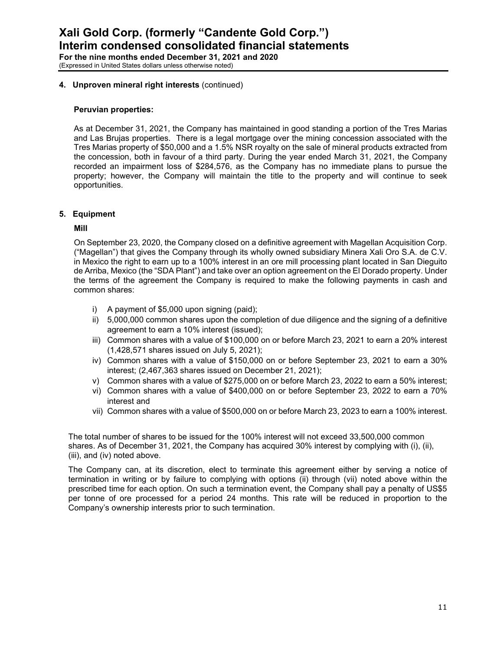#### **4. Unproven mineral right interests** (continued)

#### **Peruvian properties:**

As at December 31, 2021, the Company has maintained in good standing a portion of the Tres Marias and Las Brujas properties. There is a legal mortgage over the mining concession associated with the Tres Marias property of \$50,000 and a 1.5% NSR royalty on the sale of mineral products extracted from the concession, both in favour of a third party. During the year ended March 31, 2021, the Company recorded an impairment loss of \$284,576, as the Company has no immediate plans to pursue the property; however, the Company will maintain the title to the property and will continue to seek opportunities.

#### **5. Equipment**

#### **Mill**

On September 23, 2020, the Company closed on a definitive agreement with Magellan Acquisition Corp. ("Magellan") that gives the Company through its wholly owned subsidiary Minera Xali Oro S.A. de C.V. in Mexico the right to earn up to a 100% interest in an ore mill processing plant located in San Dieguito de Arriba, Mexico (the "SDA Plant") and take over an option agreement on the El Dorado property. Under the terms of the agreement the Company is required to make the following payments in cash and common shares:

- i) A payment of \$5,000 upon signing (paid);
- ii) 5,000,000 common shares upon the completion of due diligence and the signing of a definitive agreement to earn a 10% interest (issued);
- iii) Common shares with a value of \$100,000 on or before March 23, 2021 to earn a 20% interest (1,428,571 shares issued on July 5, 2021);
- iv) Common shares with a value of \$150,000 on or before September 23, 2021 to earn a 30% interest; (2,467,363 shares issued on December 21, 2021);
- v) Common shares with a value of \$275,000 on or before March 23, 2022 to earn a 50% interest;
- vi) Common shares with a value of \$400,000 on or before September 23, 2022 to earn a 70% interest and
- vii) Common shares with a value of \$500,000 on or before March 23, 2023 to earn a 100% interest.

The total number of shares to be issued for the 100% interest will not exceed 33,500,000 common shares. As of December 31, 2021, the Company has acquired 30% interest by complying with (i), (ii), (iii), and (iv) noted above.

The Company can, at its discretion, elect to terminate this agreement either by serving a notice of termination in writing or by failure to complying with options (ii) through (vii) noted above within the prescribed time for each option. On such a termination event, the Company shall pay a penalty of US\$5 per tonne of ore processed for a period 24 months. This rate will be reduced in proportion to the Company's ownership interests prior to such termination.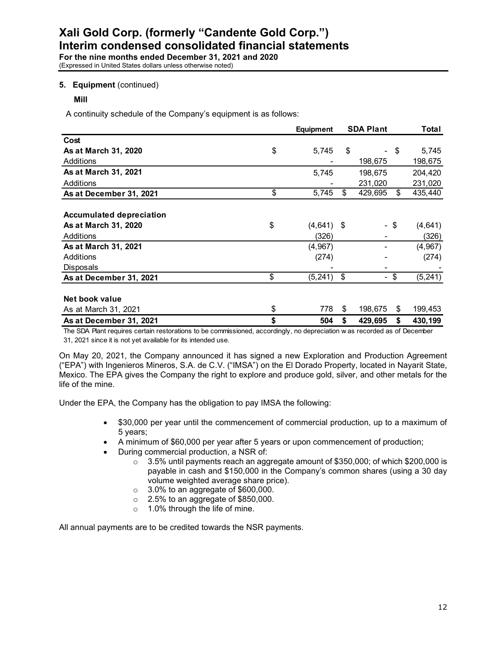### **5. Equipment** (continued)

**Mill**

A continuity schedule of the Company's equipment is as follows:

|                                                                                                                          | <b>Equipment</b> |     | <b>SDA Plant</b> |     | Total    |
|--------------------------------------------------------------------------------------------------------------------------|------------------|-----|------------------|-----|----------|
| Cost                                                                                                                     |                  |     |                  |     |          |
| As at March 31, 2020                                                                                                     | \$<br>5,745      | \$  | ٠                | \$  | 5,745    |
| Additions                                                                                                                |                  |     | 198,675          |     | 198,675  |
| As at March 31, 2021                                                                                                     | 5,745            |     | 198,675          |     | 204,420  |
| Additions                                                                                                                |                  |     | 231,020          |     | 231,020  |
| As at December 31, 2021                                                                                                  | \$<br>5,745      | \$  | 429,695          | \$  | 435,440  |
|                                                                                                                          |                  |     |                  |     |          |
| <b>Accumulated depreciation</b>                                                                                          |                  |     |                  |     |          |
| As at March 31, 2020                                                                                                     | \$<br>(4,641)    | -\$ |                  | -\$ | (4, 641) |
| Additions                                                                                                                | (326)            |     |                  |     | (326)    |
| As at March 31, 2021                                                                                                     | (4,967)          |     |                  |     | (4, 967) |
| Additions                                                                                                                | (274)            |     |                  |     | (274)    |
| Disposals                                                                                                                |                  |     |                  |     |          |
| As at December 31, 2021                                                                                                  | \$<br>(5, 241)   | \$  | ۰.               | \$  | (5, 241) |
| Net book value                                                                                                           |                  |     |                  |     |          |
| As at March 31, 2021                                                                                                     | \$<br>778        | \$  | 198,675          | \$  | 199,453  |
| As at December 31, 2021                                                                                                  | \$<br>504        | S   | 429,695          | \$  | 430,199  |
| The SDA Plant requires certain restorations to be commissioned, accordingly, no depreciation was recorded as of December |                  |     |                  |     |          |

31, 2021 since it is not yet available for its intended use.

On May 20, 2021, the Company announced it has signed a new Exploration and Production Agreement ("EPA") with Ingenieros Mineros, S.A. de C.V. ("IMSA") on the El Dorado Property, located in Nayarit State, Mexico. The EPA gives the Company the right to explore and produce gold, silver, and other metals for the life of the mine.

Under the EPA, the Company has the obligation to pay IMSA the following:

- \$30,000 per year until the commencement of commercial production, up to a maximum of 5 years;
- A minimum of \$60,000 per year after 5 years or upon commencement of production;
- During commercial production, a NSR of:
	- o 3.5% until payments reach an aggregate amount of \$350,000; of which \$200,000 is payable in cash and \$150,000 in the Company's common shares (using a 30 day volume weighted average share price).
	- $\circ$  3.0% to an aggregate of \$600,000.
	- $\circ$  2.5% to an aggregate of \$850,000.
	- o 1.0% through the life of mine.

All annual payments are to be credited towards the NSR payments.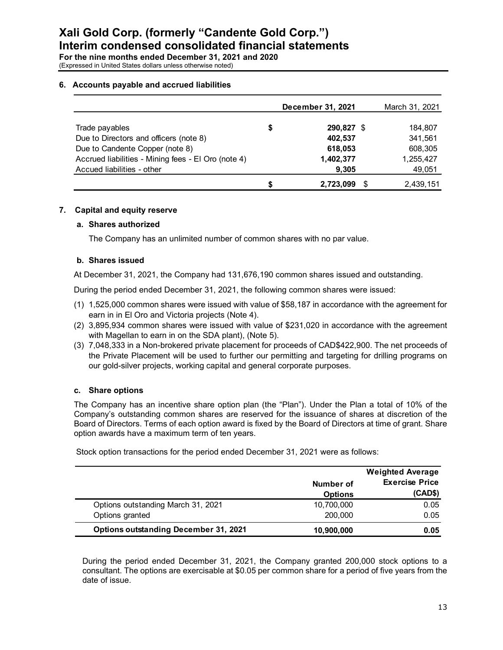### **6. Accounts payable and accrued liabilities**

|                                                     |    | December 31, 2021 | March 31, 2021 |
|-----------------------------------------------------|----|-------------------|----------------|
| Trade payables                                      | \$ | 290,827 \$        | 184,807        |
| Due to Directors and officers (note 8)              |    | 402,537           | 341,561        |
| Due to Candente Copper (note 8)                     |    | 618,053           | 608,305        |
| Accrued liabilities - Mining fees - El Oro (note 4) |    | 1,402,377         | 1,255,427      |
| Accued liabilities - other                          |    | 9,305             | 49,051         |
|                                                     | S  | 2,723,099         | 2,439,151      |

#### **7. Capital and equity reserve**

#### **a. Shares authorized**

The Company has an unlimited number of common shares with no par value.

#### **b. Shares issued**

At December 31, 2021, the Company had 131,676,190 common shares issued and outstanding.

During the period ended December 31, 2021, the following common shares were issued:

- (1) 1,525,000 common shares were issued with value of \$58,187 in accordance with the agreement for earn in in El Oro and Victoria projects (Note 4).
- (2) 3,895,934 common shares were issued with value of \$231,020 in accordance with the agreement with Magellan to earn in on the SDA plant), (Note 5).
- (3) 7,048,333 in a Non-brokered private placement for proceeds of CAD\$422,900. The net proceeds of the Private Placement will be used to further our permitting and targeting for drilling programs on our gold-silver projects, working capital and general corporate purposes.

#### **c. Share options**

The Company has an incentive share option plan (the "Plan"). Under the Plan a total of 10% of the Company's outstanding common shares are reserved for the issuance of shares at discretion of the Board of Directors. Terms of each option award is fixed by the Board of Directors at time of grant. Share option awards have a maximum term of ten years.

Stock option transactions for the period ended December 31, 2021 were as follows:

|                                              | Number of<br><b>Options</b> | <b>Weighted Average</b><br><b>Exercise Price</b><br>(CAD\$) |
|----------------------------------------------|-----------------------------|-------------------------------------------------------------|
| Options outstanding March 31, 2021           | 10,700,000                  | 0.05                                                        |
| Options granted                              | 200,000                     | 0.05                                                        |
| <b>Options outstanding December 31, 2021</b> | 10,900,000                  | 0.05                                                        |

During the period ended December 31, 2021, the Company granted 200,000 stock options to a consultant. The options are exercisable at \$0.05 per common share for a period of five years from the date of issue.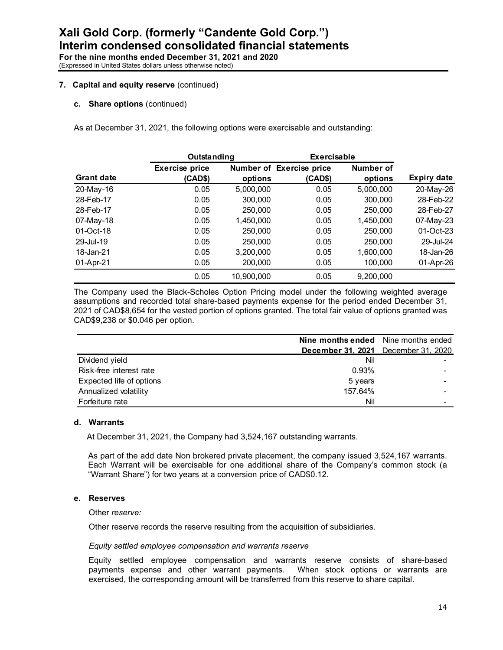#### **7. Capital and equity reserve** (continued)

**c. Share options** (continued)

As at December 31, 2021, the following options were exercisable and outstanding:

|                   | Outstanding           |            | Exercisable              |                  |                    |
|-------------------|-----------------------|------------|--------------------------|------------------|--------------------|
|                   | <b>Exercise price</b> |            | Number of Exercise price | <b>Number of</b> |                    |
| <b>Grant date</b> | (CAD\$)               | options    | (CAD\$)                  | options          | <b>Expiry date</b> |
| 20-May-16         | 0.05                  | 5,000,000  | 0.05                     | 5,000,000        | 20-May-26          |
| 28-Feb-17         | 0.05                  | 300,000    | 0.05                     | 300,000          | 28-Feb-22          |
| 28-Feb-17         | 0.05                  | 250,000    | 0.05                     | 250,000          | 28-Feb-27          |
| 07-May-18         | 0.05                  | 1,450,000  | 0.05                     | 1,450,000        | 07-May-23          |
| 01-Oct-18         | 0.05                  | 250,000    | 0.05                     | 250,000          | 01-Oct-23          |
| 29-Jul-19         | 0.05                  | 250,000    | 0.05                     | 250,000          | 29-Jul-24          |
| 18-Jan-21         | 0.05                  | 3,200,000  | 0.05                     | 1,600,000        | 18-Jan-26          |
| 01-Apr-21         | 0.05                  | 200,000    | 0.05                     | 100,000          | 01-Apr-26          |
|                   | 0.05                  | 10.900.000 | 0.05                     | 9,200,000        |                    |

The Company used the Black-Scholes Option Pricing model under the following weighted average assumptions and recorded total share-based payments expense for the period ended December 31, 2021 of CAD\$8,654 for the vested portion of options granted. The total fair value of options granted was CAD\$9,238 or \$0.046 per option.

|                          | <b>Nine months ended</b> Nine months ended |  |
|--------------------------|--------------------------------------------|--|
|                          | December 31, 2021 December 31, 2020        |  |
| Dividend yield           | Nil                                        |  |
| Risk-free interest rate  | 0.93%                                      |  |
| Expected life of options | 5 years                                    |  |
| Annualized volatility    | 157.64%                                    |  |
| Forfeiture rate          | Nil                                        |  |

#### **d. Warrants**

At December 31, 2021, the Company had 3,524,167 outstanding warrants.

As part of the add date Non brokered private placement, the company issued 3,524,167 warrants. Each Warrant will be exercisable for one additional share of the Company's common stock (a "Warrant Share") for two years at a conversion price of CAD\$0.12.

#### **e. Reserves**

Other *reserve:* 

Other reserve records the reserve resulting from the acquisition of subsidiaries.

#### *Equity settled employee compensation and warrants reserve*

 Equity settled employee compensation and warrants reserve consists of share-based payments expense and other warrant payments. When stock options or warrants are exercised, the corresponding amount will be transferred from this reserve to share capital.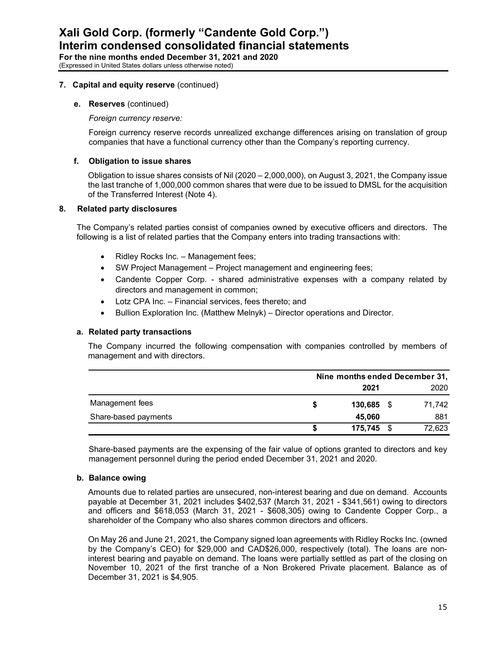#### **7. Capital and equity reserve** (continued)

#### **e. Reserves** (continued)

*Foreign currency reserve:*

Foreign currency reserve records unrealized exchange differences arising on translation of group companies that have a functional currency other than the Company's reporting currency.

## **f. Obligation to issue shares**

Obligation to issue shares consists of Nil (2020 – 2,000,000), on August 3, 2021, the Company issue the last tranche of 1,000,000 common shares that were due to be issued to DMSL for the acquisition of the Transferred Interest (Note 4).

#### **8. Related party disclosures**

The Company's related parties consist of companies owned by executive officers and directors. The following is a list of related parties that the Company enters into trading transactions with:

- Ridley Rocks Inc. Management fees;
- SW Project Management Project management and engineering fees;
- Candente Copper Corp. shared administrative expenses with a company related by directors and management in common;
- Lotz CPA Inc. Financial services, fees thereto; and
- Bullion Exploration Inc. (Matthew Melnyk) Director operations and Director.

#### **a. Related party transactions**

The Company incurred the following compensation with companies controlled by members of management and with directors.

|                      | Nine months ended December 31, |  |        |  |  |  |
|----------------------|--------------------------------|--|--------|--|--|--|
|                      | 2021                           |  | 2020   |  |  |  |
| Management fees      | $130,685$ \$                   |  | 71.742 |  |  |  |
| Share-based payments | 45,060                         |  | 881    |  |  |  |
|                      | 175,745 \$                     |  | 72,623 |  |  |  |

Share-based payments are the expensing of the fair value of options granted to directors and key management personnel during the period ended December 31, 2021 and 2020.

#### **b. Balance owing**

Amounts due to related parties are unsecured, non-interest bearing and due on demand. Accounts payable at December 31, 2021 includes \$402,537 (March 31, 2021 - \$341,561) owing to directors and officers and \$618,053 (March 31, 2021 - \$608,305) owing to Candente Copper Corp., a shareholder of the Company who also shares common directors and officers.

On May 26 and June 21, 2021, the Company signed loan agreements with Ridley Rocks Inc. (owned by the Company's CEO) for \$29,000 and CAD\$26,000, respectively (total). The loans are noninterest bearing and payable on demand. The loans were partially settled as part of the closing on November 10, 2021 of the first tranche of a Non Brokered Private placement. Balance as of December 31, 2021 is \$4,905.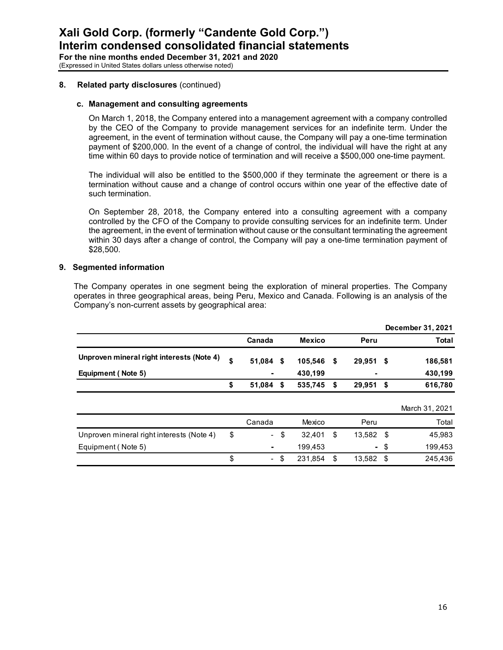#### **8. Related party disclosures** (continued)

#### **c. Management and consulting agreements**

On March 1, 2018, the Company entered into a management agreement with a company controlled by the CEO of the Company to provide management services for an indefinite term. Under the agreement, in the event of termination without cause, the Company will pay a one-time termination payment of \$200,000. In the event of a change of control, the individual will have the right at any time within 60 days to provide notice of termination and will receive a \$500,000 one-time payment.

The individual will also be entitled to the \$500,000 if they terminate the agreement or there is a termination without cause and a change of control occurs within one year of the effective date of such termination.

On September 28, 2018, the Company entered into a consulting agreement with a company controlled by the CFO of the Company to provide consulting services for an indefinite term. Under the agreement, in the event of termination without cause or the consultant terminating the agreement within 30 days after a change of control, the Company will pay a one-time termination payment of \$28,500.

#### **9. Segmented information**

The Company operates in one segment being the exploration of mineral properties. The Company operates in three geographical areas, being Peru, Mexico and Canada. Following is an analysis of the Company's non-current assets by geographical area:

|                                           |                                |               |    |                |      | December 31, 2021 |
|-------------------------------------------|--------------------------------|---------------|----|----------------|------|-------------------|
|                                           | Canada                         | <b>Mexico</b> |    | Peru           |      | <b>Total</b>      |
| Unproven mineral right interests (Note 4) | \$<br>51,084 \$                | 105,546       | \$ | $29,951$ \$    |      | 186,581           |
| <b>Equipment (Note 5)</b>                 |                                | 430,199       |    |                |      | 430,199           |
|                                           | \$<br>51,084 \$                | 535,745       | S  | 29,951         | - \$ | 616,780           |
|                                           |                                |               |    |                |      | March 31, 2021    |
|                                           | Canada                         | Mexico        |    | Peru           |      | Total             |
| Unproven mineral right interests (Note 4) | \$<br>$\blacksquare$           | \$<br>32,401  | \$ | 13,582         | -\$  | 45,983            |
| Equipment (Note 5)                        |                                | 199,453       |    | $\blacksquare$ | -\$  | 199,453           |
|                                           | \$<br>$\overline{\phantom{0}}$ | \$<br>231.854 | \$ | 13.582         | \$   | 245.436           |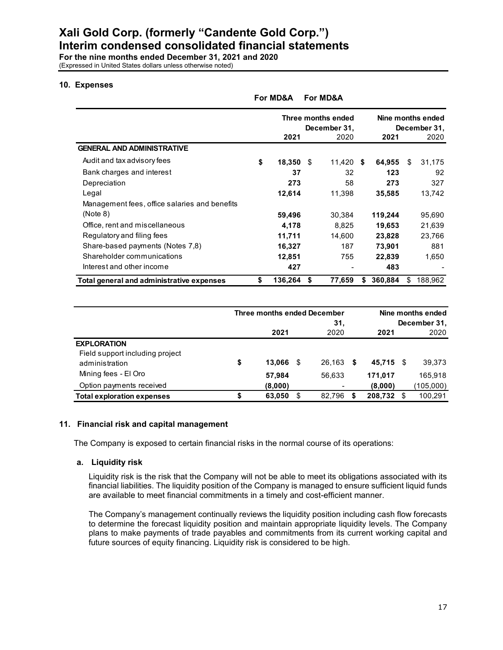**Xali Gold Corp. (formerly "Candente Gold Corp.") Interim condensed consolidated financial statements**

**For the nine months ended December 31, 2021 and 2020** (Expressed in United States dollars unless otherwise noted)

#### **10. Expenses**

|                                               | For MD&A                           |   | <b>For MD&amp;A</b> |    |                                   |    |         |
|-----------------------------------------------|------------------------------------|---|---------------------|----|-----------------------------------|----|---------|
|                                               | Three months ended<br>December 31, |   |                     |    | Nine months ended<br>December 31, |    |         |
|                                               | 2021                               |   | 2020                |    | 2021                              |    | 2020    |
| <b>GENERAL AND ADMINISTRATIVE</b>             |                                    |   |                     |    |                                   |    |         |
| Audit and tax advisory fees                   | \$<br>$18,350$ \$                  |   | 11,420 \$           |    | 64,955                            | \$ | 31,175  |
| Bank charges and interest                     | 37                                 |   | 32                  |    | 123                               |    | 92      |
| Depreciation                                  | 273                                |   | 58                  |    | 273                               |    | 327     |
| Legal                                         | 12,614                             |   | 11,398              |    | 35,585                            |    | 13,742  |
| Management fees, office salaries and benefits |                                    |   |                     |    |                                   |    |         |
| (Note 8)                                      | 59,496                             |   | 30,384              |    | 119,244                           |    | 95,690  |
| Office, rent and miscellaneous                | 4,178                              |   | 8,825               |    | 19,653                            |    | 21,639  |
| Regulatory and filing fees                    | 11,711                             |   | 14,600              |    | 23,828                            |    | 23,766  |
| Share-based payments (Notes 7,8)              | 16,327                             |   | 187                 |    | 73,901                            |    | 881     |
| Shareholder communications                    | 12,851                             |   | 755                 |    | 22,839                            |    | 1,650   |
| Interest and other income                     | 427                                |   |                     |    | 483                               |    |         |
| Total general and administrative expenses     | \$<br>136,264                      | S | 77,659              | æ. | 360,884                           | S  | 188,962 |

|                                   | Three months ended December |  |        |    | Nine months ended |      |              |  |  |
|-----------------------------------|-----------------------------|--|--------|----|-------------------|------|--------------|--|--|
|                                   |                             |  | 31.    |    |                   |      | December 31, |  |  |
|                                   | 2021                        |  | 2020   |    | 2021              |      | 2020         |  |  |
| <b>EXPLORATION</b>                |                             |  |        |    |                   |      |              |  |  |
| Field support including project   |                             |  |        |    |                   |      |              |  |  |
| administration                    | \$<br>13.066                |  | 26.163 | -S | 45.715            | - \$ | 39,373       |  |  |
| Mining fees - El Oro              | 57,984                      |  | 56.633 |    | 171,017           |      | 165,918      |  |  |
| Option payments received          | (8,000)                     |  |        |    | (8,000)           |      | (105,000)    |  |  |
| <b>Total exploration expenses</b> | 63,050                      |  | 82.796 | S  | 208,732           | -\$  | 100,291      |  |  |

#### **11. Financial risk and capital management**

The Company is exposed to certain financial risks in the normal course of its operations:

#### **a. Liquidity risk**

Liquidity risk is the risk that the Company will not be able to meet its obligations associated with its financial liabilities. The liquidity position of the Company is managed to ensure sufficient liquid funds are available to meet financial commitments in a timely and cost-efficient manner.

The Company's management continually reviews the liquidity position including cash flow forecasts to determine the forecast liquidity position and maintain appropriate liquidity levels. The Company plans to make payments of trade payables and commitments from its current working capital and future sources of equity financing. Liquidity risk is considered to be high.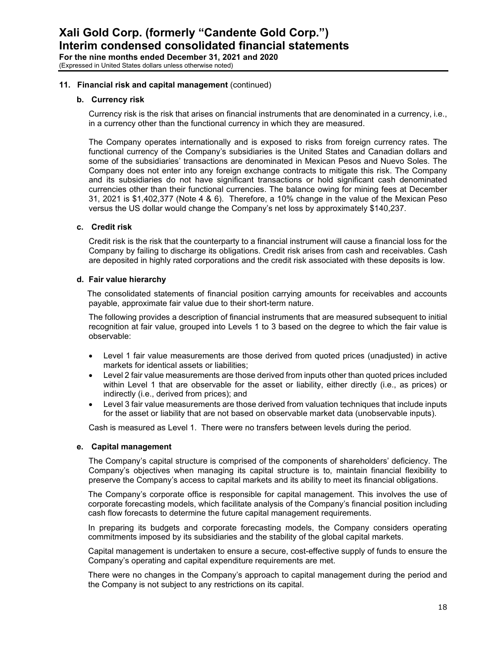#### **11. Financial risk and capital management** (continued)

#### **b. Currency risk**

Currency risk is the risk that arises on financial instruments that are denominated in a currency, i.e., in a currency other than the functional currency in which they are measured.

The Company operates internationally and is exposed to risks from foreign currency rates. The functional currency of the Company's subsidiaries is the United States and Canadian dollars and some of the subsidiaries' transactions are denominated in Mexican Pesos and Nuevo Soles. The Company does not enter into any foreign exchange contracts to mitigate this risk. The Company and its subsidiaries do not have significant transactions or hold significant cash denominated currencies other than their functional currencies. The balance owing for mining fees at December 31, 2021 is \$1,402,377 (Note 4 & 6). Therefore, a 10% change in the value of the Mexican Peso versus the US dollar would change the Company's net loss by approximately \$140,237.

#### **c. Credit risk**

Credit risk is the risk that the counterparty to a financial instrument will cause a financial loss for the Company by failing to discharge its obligations. Credit risk arises from cash and receivables. Cash are deposited in highly rated corporations and the credit risk associated with these deposits is low.

#### **d. Fair value hierarchy**

The consolidated statements of financial position carrying amounts for receivables and accounts payable, approximate fair value due to their short-term nature.

The following provides a description of financial instruments that are measured subsequent to initial recognition at fair value, grouped into Levels 1 to 3 based on the degree to which the fair value is observable:

- Level 1 fair value measurements are those derived from quoted prices (unadjusted) in active markets for identical assets or liabilities;
- Level 2 fair value measurements are those derived from inputs other than quoted prices included within Level 1 that are observable for the asset or liability, either directly (i.e., as prices) or indirectly (i.e., derived from prices); and
- Level 3 fair value measurements are those derived from valuation techniques that include inputs for the asset or liability that are not based on observable market data (unobservable inputs).

Cash is measured as Level 1. There were no transfers between levels during the period.

#### **e. Capital management**

The Company's capital structure is comprised of the components of shareholders' deficiency. The Company's objectives when managing its capital structure is to, maintain financial flexibility to preserve the Company's access to capital markets and its ability to meet its financial obligations.

The Company's corporate office is responsible for capital management. This involves the use of corporate forecasting models, which facilitate analysis of the Company's financial position including cash flow forecasts to determine the future capital management requirements.

In preparing its budgets and corporate forecasting models, the Company considers operating commitments imposed by its subsidiaries and the stability of the global capital markets.

Capital management is undertaken to ensure a secure, cost-effective supply of funds to ensure the Company's operating and capital expenditure requirements are met.

There were no changes in the Company's approach to capital management during the period and the Company is not subject to any restrictions on its capital.